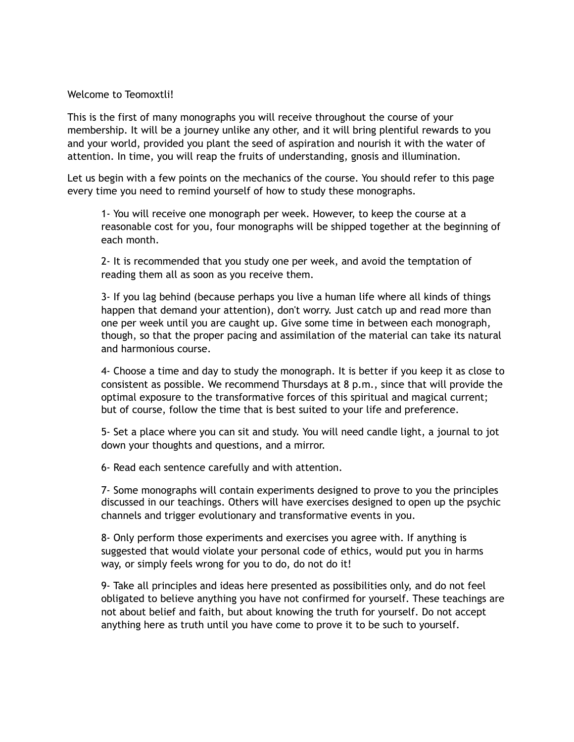## Welcome to Teomoxtli!

This is the first of many monographs you will receive throughout the course of your membership. It will be a journey unlike any other, and it will bring plentiful rewards to you and your world, provided you plant the seed of aspiration and nourish it with the water of attention. In time, you will reap the fruits of understanding, gnosis and illumination.

Let us begin with a few points on the mechanics of the course. You should refer to this page every time you need to remind yourself of how to study these monographs.

1- You will receive one monograph per week. However, to keep the course at a reasonable cost for you, four monographs will be shipped together at the beginning of each month.

2- It is recommended that you study one per week, and avoid the temptation of reading them all as soon as you receive them.

3- If you lag behind (because perhaps you live a human life where all kinds of things happen that demand your attention), don't worry. Just catch up and read more than one per week until you are caught up. Give some time in between each monograph, though, so that the proper pacing and assimilation of the material can take its natural and harmonious course.

4- Choose a time and day to study the monograph. It is better if you keep it as close to consistent as possible. We recommend Thursdays at 8 p.m., since that will provide the optimal exposure to the transformative forces of this spiritual and magical current; but of course, follow the time that is best suited to your life and preference.

5- Set a place where you can sit and study. You will need candle light, a journal to jot down your thoughts and questions, and a mirror.

6- Read each sentence carefully and with attention.

7- Some monographs will contain experiments designed to prove to you the principles discussed in our teachings. Others will have exercises designed to open up the psychic channels and trigger evolutionary and transformative events in you.

8- Only perform those experiments and exercises you agree with. If anything is suggested that would violate your personal code of ethics, would put you in harms way, or simply feels wrong for you to do, do not do it!

9- Take all principles and ideas here presented as possibilities only, and do not feel obligated to believe anything you have not confirmed for yourself. These teachings are not about belief and faith, but about knowing the truth for yourself. Do not accept anything here as truth until you have come to prove it to be such to yourself.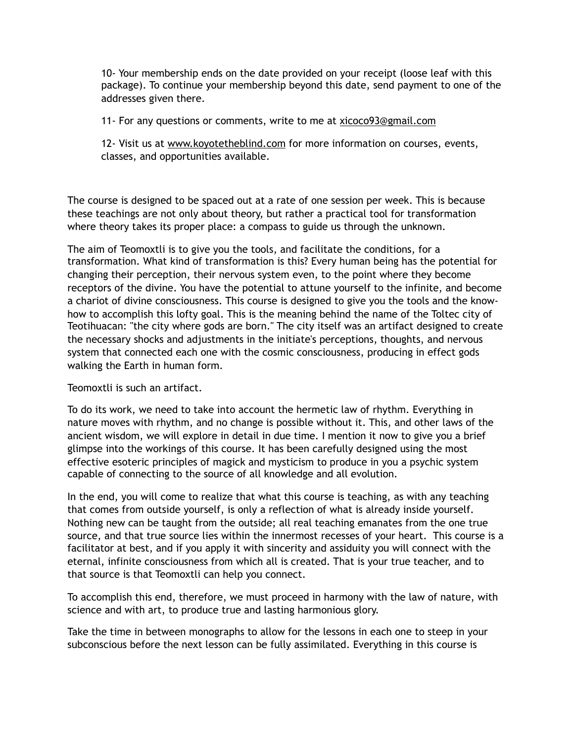10- Your membership ends on the date provided on your receipt (loose leaf with this package). To continue your membership beyond this date, send payment to one of the addresses given there.

11- For any questions or comments, write to me at [xicoco93@gmail.com](mailto:xicoco93@gmail.com)

12- Visit us at [www.koyotetheblind.com](http://www.koyotetheblind.com) for more information on courses, events, classes, and opportunities available.

The course is designed to be spaced out at a rate of one session per week. This is because these teachings are not only about theory, but rather a practical tool for transformation where theory takes its proper place: a compass to guide us through the unknown.

The aim of Teomoxtli is to give you the tools, and facilitate the conditions, for a transformation. What kind of transformation is this? Every human being has the potential for changing their perception, their nervous system even, to the point where they become receptors of the divine. You have the potential to attune yourself to the infinite, and become a chariot of divine consciousness. This course is designed to give you the tools and the knowhow to accomplish this lofty goal. This is the meaning behind the name of the Toltec city of Teotihuacan: "the city where gods are born." The city itself was an artifact designed to create the necessary shocks and adjustments in the initiate's perceptions, thoughts, and nervous system that connected each one with the cosmic consciousness, producing in effect gods walking the Earth in human form.

Teomoxtli is such an artifact.

To do its work, we need to take into account the hermetic law of rhythm. Everything in nature moves with rhythm, and no change is possible without it. This, and other laws of the ancient wisdom, we will explore in detail in due time. I mention it now to give you a brief glimpse into the workings of this course. It has been carefully designed using the most effective esoteric principles of magick and mysticism to produce in you a psychic system capable of connecting to the source of all knowledge and all evolution.

In the end, you will come to realize that what this course is teaching, as with any teaching that comes from outside yourself, is only a reflection of what is already inside yourself. Nothing new can be taught from the outside; all real teaching emanates from the one true source, and that true source lies within the innermost recesses of your heart. This course is a facilitator at best, and if you apply it with sincerity and assiduity you will connect with the eternal, infinite consciousness from which all is created. That is your true teacher, and to that source is that Teomoxtli can help you connect.

To accomplish this end, therefore, we must proceed in harmony with the law of nature, with science and with art, to produce true and lasting harmonious glory.

Take the time in between monographs to allow for the lessons in each one to steep in your subconscious before the next lesson can be fully assimilated. Everything in this course is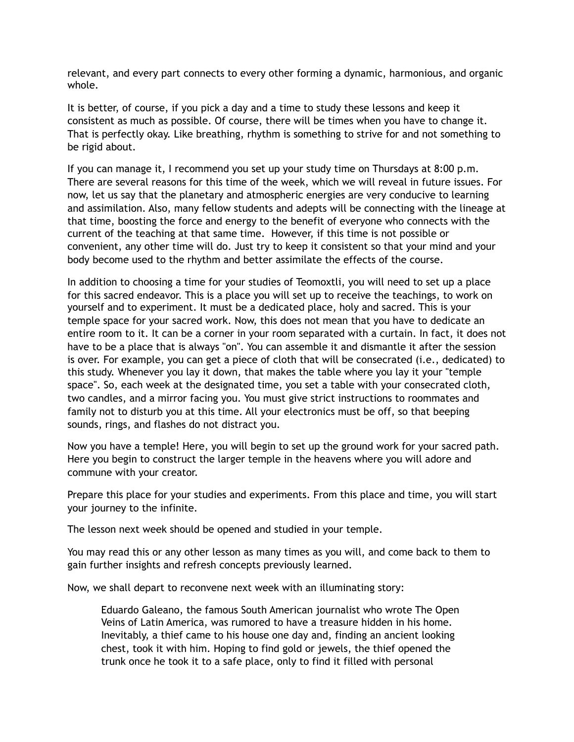relevant, and every part connects to every other forming a dynamic, harmonious, and organic whole.

It is better, of course, if you pick a day and a time to study these lessons and keep it consistent as much as possible. Of course, there will be times when you have to change it. That is perfectly okay. Like breathing, rhythm is something to strive for and not something to be rigid about.

If you can manage it, I recommend you set up your study time on Thursdays at 8:00 p.m. There are several reasons for this time of the week, which we will reveal in future issues. For now, let us say that the planetary and atmospheric energies are very conducive to learning and assimilation. Also, many fellow students and adepts will be connecting with the lineage at that time, boosting the force and energy to the benefit of everyone who connects with the current of the teaching at that same time. However, if this time is not possible or convenient, any other time will do. Just try to keep it consistent so that your mind and your body become used to the rhythm and better assimilate the effects of the course.

In addition to choosing a time for your studies of Teomoxtli, you will need to set up a place for this sacred endeavor. This is a place you will set up to receive the teachings, to work on yourself and to experiment. It must be a dedicated place, holy and sacred. This is your temple space for your sacred work. Now, this does not mean that you have to dedicate an entire room to it. It can be a corner in your room separated with a curtain. In fact, it does not have to be a place that is always "on". You can assemble it and dismantle it after the session is over. For example, you can get a piece of cloth that will be consecrated (i.e., dedicated) to this study. Whenever you lay it down, that makes the table where you lay it your "temple space". So, each week at the designated time, you set a table with your consecrated cloth, two candles, and a mirror facing you. You must give strict instructions to roommates and family not to disturb you at this time. All your electronics must be off, so that beeping sounds, rings, and flashes do not distract you.

Now you have a temple! Here, you will begin to set up the ground work for your sacred path. Here you begin to construct the larger temple in the heavens where you will adore and commune with your creator.

Prepare this place for your studies and experiments. From this place and time, you will start your journey to the infinite.

The lesson next week should be opened and studied in your temple.

You may read this or any other lesson as many times as you will, and come back to them to gain further insights and refresh concepts previously learned.

Now, we shall depart to reconvene next week with an illuminating story:

Eduardo Galeano, the famous South American journalist who wrote The Open Veins of Latin America, was rumored to have a treasure hidden in his home. Inevitably, a thief came to his house one day and, finding an ancient looking chest, took it with him. Hoping to find gold or jewels, the thief opened the trunk once he took it to a safe place, only to find it filled with personal